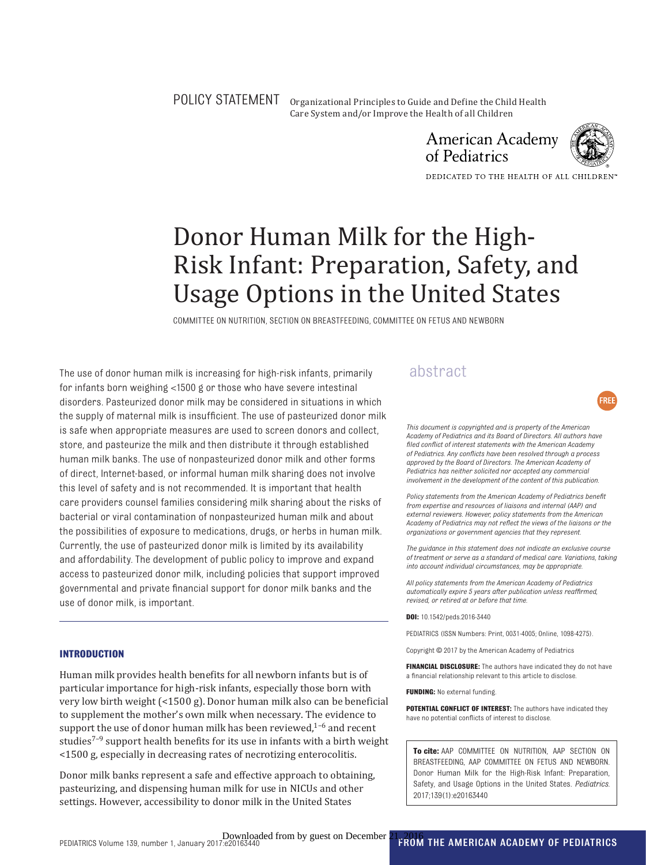POLICY STATEMENT Organizational Principles to Guide and Define the Child Health Care System and/or Improve the Health of all Children





FREE

DEDICATED TO THE HEALTH OF ALL CHILDREN

## Donor Human Milk for the High-Risk Infant: Preparation, Safety, and Usage Options in the United States

COMMITTEE ON NUTRITION, SECTION ON BREASTFEEDING, COMMITTEE ON FETUS AND NEWBORN

The use of donor human milk is increasing for high-risk infants, primarily  $a\bar{b}stract$ for infants born weighing <1500 g or those who have severe intestinal disorders. Pasteurized donor milk may be considered in situations in which the supply of maternal milk is insufficient. The use of pasteurized donor milk is safe when appropriate measures are used to screen donors and collect, store, and pasteurize the milk and then distribute it through established human milk banks. The use of nonpasteurized donor milk and other forms of direct, Internet-based, or informal human milk sharing does not involve this level of safety and is not recommended. It is important that health care providers counsel families considering milk sharing about the risks of bacterial or viral contamination of nonpasteurized human milk and about the possibilities of exposure to medications, drugs, or herbs in human milk. Currently, the use of pasteurized donor milk is limited by its availability and affordability. The development of public policy to improve and expand access to pasteurized donor milk, including policies that support improved governmental and private financial support for donor milk banks and the use of donor milk, is important.

#### **INTRODUCTION**

Human milk provides health benefits for all newborn infants but is of particular importance for high-risk infants, especially those born with very low birth weight (<1500 g). Donor human milk also can be beneficial to supplement the mother's own milk when necessary. The evidence to support the use of donor human milk has been reviewed, $1-6$  and recent studies<sup> $7-9$ </sup> support health benefits for its use in infants with a birth weight <1500 g, especially in decreasing rates of necrotizing enterocolitis.

Donor milk banks represent a safe and effective approach to obtaining, pasteurizing, and dispensing human milk for use in NICUs and other settings. However, accessibility to donor milk in the United States

*This document is copyrighted and is property of the American Academy of Pediatrics and its Board of Directors. All authors have fi led confl ict of interest statements with the American Academy of Pediatrics. Any confl icts have been resolved through a process approved by the Board of Directors. The American Academy of Pediatrics has neither solicited nor accepted any commercial involvement in the development of the content of this publication.*

Policy statements from the American Academy of Pediatrics benefit *from expertise and resources of liaisons and internal (AAP) and external reviewers. However, policy statements from the American*  Academy of Pediatrics may not reflect the views of the liaisons or the *organizations or government agencies that they represent.*

*The guidance in this statement does not indicate an exclusive course of treatment or serve as a standard of medical care. Variations, taking into account individual circumstances, may be appropriate.*

*All policy statements from the American Academy of Pediatrics automatically expire 5 years after publication unless reaffirmed. revised, or retired at or before that time.*

**DOI:** 10.1542/peds.2016-3440

PEDIATRICS (ISSN Numbers: Print, 0031-4005; Online, 1098-4275).

Copyright © 2017 by the American Academy of Pediatrics

**FINANCIAL DISCLOSURE:** The authors have indicated they do not have a financial relationship relevant to this article to disclose.

**FUNDING:** No external funding.

**POTENTIAL CONFLICT OF INTEREST:** The authors have indicated they have no potential conflicts of interest to disclose.

**To cite:** AAP COMMITTEE ON NUTRITION, AAP SECTION ON BREASTFEEDING, AAP COMMITTEE ON FETUS AND NEWBORN. Donor Human Milk for the High-Risk Infant: Preparation, Safety, and Usage Options in the United States. *Pediatrics.* 2017;139(1):e20163440

Downloaded from by guest on December 21, 2016 THE AMERICAN ACADEMY OF PEDIATRICS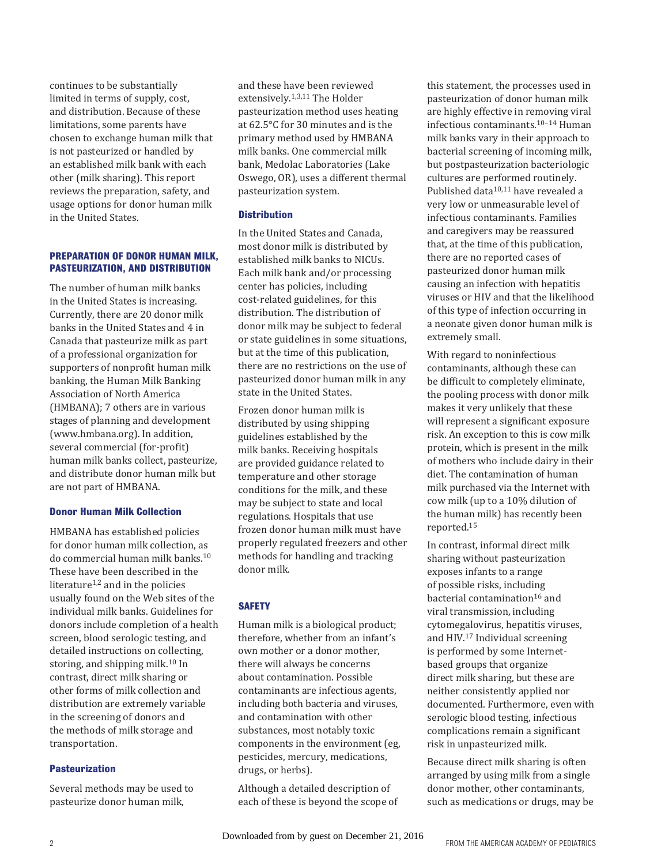continues to be substantially limited in terms of supply, cost, and distribution. Because of these limitations, some parents have chosen to exchange human milk that is not pasteurized or handled by an established milk bank with each other (milk sharing). This report reviews the preparation, safety, and usage options for donor human milk in the United States.

#### **PREPARATION OF DONOR HUMAN MILK, PASTEURIZATION, AND DISTRIBUTION**

The number of human milk banks in the United States is increasing. Currently, there are 20 donor milk banks in the United States and 4 in Canada that pasteurize milk as part of a professional organization for supporters of nonprofit human milk banking, the Human Milk Banking Association of North America (HMBANA); 7 others are in various stages of planning and development (www.hmbana.org). In addition, several commercial (for-profit) human milk banks collect, pasteurize, and distribute donor human milk but are not part of HMBANA.

#### **Donor Human Milk Collection**

HMBANA has established policies for donor human milk collection, as do commercial human milk banks. 10 These have been described in the literature<sup>1,2</sup> and in the policies usually found on the Web sites of the individual milk banks. Guidelines for donors include completion of a health screen, blood serologic testing, and detailed instructions on collecting, storing, and shipping milk.<sup>10</sup> In contrast, direct milk sharing or other forms of milk collection and distribution are extremely variable in the screening of donors and the methods of milk storage and transportation.

#### **Pasteurization**

Several methods may be used to pasteurize donor human milk,

and these have been reviewed extensively.<sup>1,3,11</sup> The Holder pasteurization method uses heating at 62.5°C for 30 minutes and is the primary method used by HMBANA milk banks. One commercial milk bank, Medolac Laboratories (Lake Oswego, OR), uses a different thermal pasteurization system.

#### **Distribution**

In the United States and Canada, most donor milk is distributed by established milk banks to NICUs. Each milk bank and/or processing center has policies, including cost-related guidelines, for this distribution. The distribution of donor milk may be subject to federal or state guidelines in some situations, but at the time of this publication, there are no restrictions on the use of pasteurized donor human milk in any state in the United States.

Frozen donor human milk is distributed by using shipping guidelines established by the milk banks. Receiving hospitals are provided guidance related to temperature and other storage conditions for the milk, and these may be subject to state and local regulations. Hospitals that use frozen donor human milk must have properly regulated freezers and other methods for handling and tracking donor milk.

#### **SAFETY**

Human milk is a biological product; therefore, whether from an infant's own mother or a donor mother, there will always be concerns about contamination. Possible contaminants are infectious agents, including both bacteria and viruses, and contamination with other substances, most notably toxic components in the environment (eg, pesticides, mercury, medications, drugs, or herbs).

Although a detailed description of each of these is beyond the scope of this statement, the processes used in pasteurization of donor human milk are highly effective in removing viral infectious contaminants. 10–14 Human milk banks vary in their approach to bacterial screening of incoming milk, but postpasteurization bacteriologic cultures are performed routinely. Published data<sup>10,11</sup> have revealed a very low or unmeasurable level of infectious contaminants. Families and caregivers may be reassured that, at the time of this publication, there are no reported cases of pasteurized donor human milk causing an infection with hepatitis viruses or HIV and that the likelihood of this type of infection occurring in a neonate given donor human milk is extremely small.

With regard to noninfectious contaminants, although these can be difficult to completely eliminate, the pooling process with donor milk makes it very unlikely that these will represent a significant exposure risk. An exception to this is cow milk protein, which is present in the milk of mothers who include dairy in their diet. The contamination of human milk purchased via the Internet with cow milk (up to a 10% dilution of the human milk) has recently been reported. 15

In contrast, informal direct milk sharing without pasteurization exposes infants to a range of possible risks, including bacterial contamination 16 and viral transmission, including cytomegalovirus, hepatitis viruses, and HIV.<sup>17</sup> Individual screening is performed by some Internetbased groups that organize direct milk sharing, but these are neither consistently applied nor documented. Furthermore, even with serologic blood testing, infectious complications remain a significant risk in unpasteurized milk.

Because direct milk sharing is often arranged by using milk from a single donor mother, other contaminants, such as medications or drugs, may be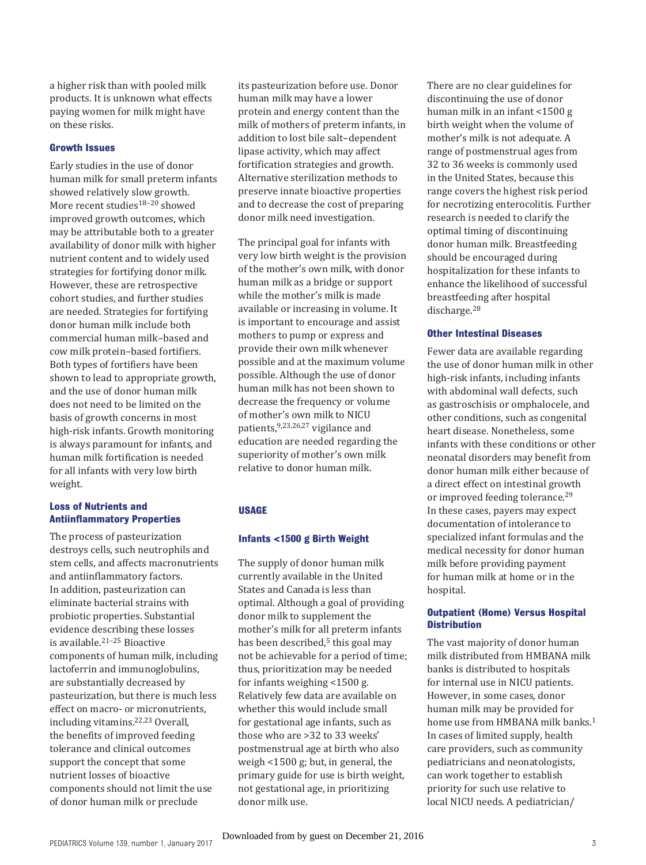a higher risk than with pooled milk products. It is unknown what effects paying women for milk might have on these risks.

#### **Growth Issues**

Early studies in the use of donor human milk for small preterm infants showed relatively slow growth. More recent studies<sup>18-20</sup> showed improved growth outcomes, which may be attributable both to a greater availability of donor milk with higher nutrient content and to widely used strategies for fortifying donor milk. However, these are retrospective cohort studies, and further studies are needed. Strategies for fortifying donor human milk include both commercial human milk–based and cow milk protein–based fortifiers. Both types of fortifiers have been shown to lead to appropriate growth, and the use of donor human milk does not need to be limited on the basis of growth concerns in most high-risk infants. Growth monitoring is always paramount for infants, and human milk fortification is needed for all infants with very low birth weight.

#### **Loss of Nutrients and Antiinflammatory Properties**

The process of pasteurization destroys cells, such neutrophils and stem cells, and affects macronutrients and antiinflammatory factors. In addition, pasteurization can eliminate bacterial strains with probiotic properties. Substantial evidence describing these losses is available. 21–25 Bioactive components of human milk, including lactoferrin and immunoglobulins, are substantially decreased by pasteurization, but there is much less effect on macro- or micronutrients, including vitamins.<sup>22,23</sup> Overall, the benefits of improved feeding tolerance and clinical outcomes support the concept that some nutrient losses of bioactive components should not limit the use of donor human milk or preclude

its pasteurization before use. Donor human milk may have a lower protein and energy content than the milk of mothers of preterm infants, in addition to lost bile salt–dependent lipase activity, which may affect fortification strategies and growth. Alternative sterilization methods to preserve innate bioactive properties and to decrease the cost of preparing donor milk need investigation.

The principal goal for infants with very low birth weight is the provision of the mother's own milk, with donor human milk as a bridge or support while the mother's milk is made available or increasing in volume. It is important to encourage and assist mothers to pump or express and provide their own milk whenever possible and at the maximum volume possible. Although the use of donor human milk has not been shown to decrease the frequency or volume of mother's own milk to NICU patients,  $9,23,26,27$  vigilance and education are needed regarding the superiority of mother's own milk relative to donor human milk.

#### **USAGE**

#### **Infants <1500 g Birth Weight**

The supply of donor human milk currently available in the United States and Canada is less than optimal. Although a goal of providing donor milk to supplement the mother's milk for all preterm infants has been described, $5$  this goal may not be achievable for a period of time; thus, prioritization may be needed for infants weighing <1500 g. Relatively few data are available on whether this would include small for gestational age infants, such as those who are >32 to 33 weeks' postmenstrual age at birth who also weigh <1500 g; but, in general, the primary guide for use is birth weight, not gestational age, in prioritizing donor milk use.

There are no clear guidelines for discontinuing the use of donor human milk in an infant <1500 g birth weight when the volume of mother's milk is not adequate. A range of postmenstrual ages from 32 to 36 weeks is commonly used in the United States, because this range covers the highest risk period for necrotizing enterocolitis. Further research is needed to clarify the optimal timing of discontinuing donor human milk. Breastfeeding should be encouraged during hospitalization for these infants to enhance the likelihood of successful breastfeeding after hospital discharge.<sup>28</sup>

#### **Other Intestinal Diseases**

Fewer data are available regarding the use of donor human milk in other high-risk infants, including infants with abdominal wall defects, such as gastroschisis or omphalocele, and other conditions, such as congenital heart disease. Nonetheless, some infants with these conditions or other neonatal disorders may benefit from donor human milk either because of a direct effect on intestinal growth or improved feeding tolerance.<sup>29</sup> In these cases, payers may expect documentation of intolerance to specialized infant formulas and the medical necessity for donor human milk before providing payment for human milk at home or in the hospital.

#### **Outpatient (Home) Versus Hospital Distribution**

The vast majority of donor human milk distributed from HMBANA milk banks is distributed to hospitals for internal use in NICU patients. However, in some cases, donor human milk may be provided for home use from HMBANA milk banks.<sup>1</sup> In cases of limited supply, health care providers, such as community pediatricians and neonatologists, can work together to establish priority for such use relative to local NICU needs. A pediatrician/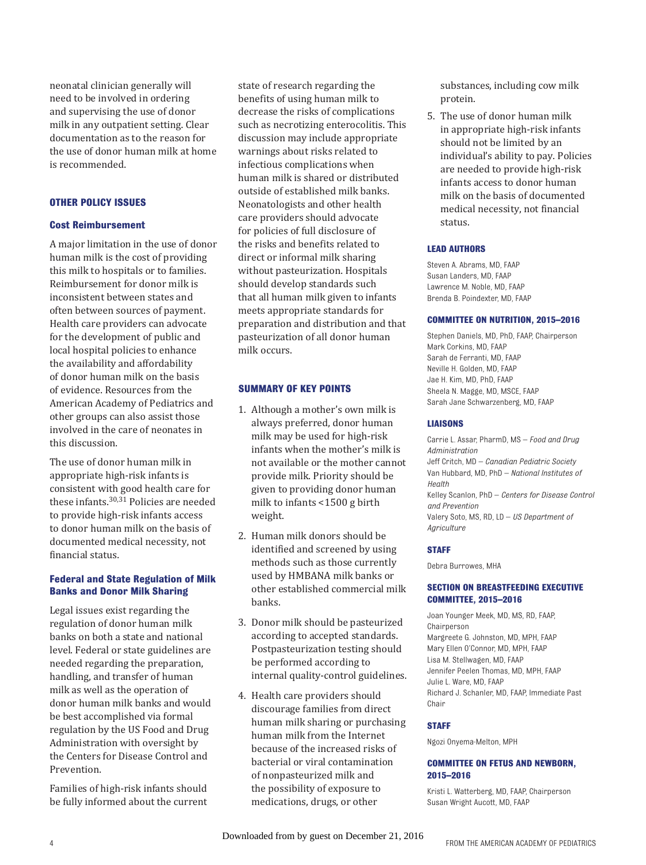neonatal clinician generally will need to be involved in ordering and supervising the use of donor milk in any outpatient setting. Clear documentation as to the reason for the use of donor human milk at home is recommended.

#### **OTHER POLICY ISSUES**

#### **Cost Reimbursement**

A major limitation in the use of donor human milk is the cost of providing this milk to hospitals or to families. Reimbursement for donor milk is inconsistent between states and often between sources of payment. Health care providers can advocate for the development of public and local hospital policies to enhance the availability and affordability of donor human milk on the basis of evidence. Resources from the American Academy of Pediatrics and other groups can also assist those involved in the care of neonates in this discussion.

The use of donor human milk in appropriate high-risk infants is consistent with good health care for these infants. $30,31$  Policies are needed to provide high-risk infants access to donor human milk on the basis of documented medical necessity, not financial status.

#### **Federal and State Regulation of Milk Banks and Donor Milk Sharing**

Legal issues exist regarding the regulation of donor human milk banks on both a state and national level. Federal or state guidelines are needed regarding the preparation, handling, and transfer of human milk as well as the operation of donor human milk banks and would be best accomplished via formal regulation by the US Food and Drug Administration with oversight by the Centers for Disease Control and **Prevention** 

Families of high-risk infants should be fully informed about the current state of research regarding the benefits of using human milk to decrease the risks of complications such as necrotizing enterocolitis. This discussion may include appropriate warnings about risks related to infectious complications when human milk is shared or distributed outside of established milk banks. Neonatologists and other health care providers should advocate for policies of full disclosure of the risks and benefits related to direct or informal milk sharing without pasteurization. Hospitals should develop standards such that all human milk given to infants meets appropriate standards for preparation and distribution and that pasteurization of all donor human milk occurs.

#### **SUMMARY OF KEY POINTS**

- 1. Although a mother's own milk is always preferred, donor human milk may be used for high-risk infants when the mother's milk is not available or the mother cannot provide milk. Priority should be given to providing donor human milk to infants <1500 g birth weight.
- 2. Human milk donors should be identified and screened by using methods such as those currently used by HMBANA milk banks or other established commercial milk banks.
- 3. Donor milk should be pasteurized according to accepted standards. Postpasteurization testing should be performed according to internal quality-control guidelines.
- 4. Health care providers should discourage families from direct human milk sharing or purchasing human milk from the Internet because of the increased risks of bacterial or viral contamination of nonpasteurized milk and the possibility of exposure to medications, drugs, or other

substances, including cow milk protein.

5. The use of donor human milk in appropriate high-risk infants should not be limited by an individual's ability to pay. Policies are needed to provide high-risk infants access to donor human milk on the basis of documented medical necessity, not financial status.

#### **LEAD AUTHORS**

Steven A. Abrams, MD, FAAP Susan Landers, MD, FAAP Lawrence M. Noble, MD, FAAP Brenda B. Poindexter, MD, FAAP

#### **COMMITTEE ON NUTRITION, 2015–2016**

Stephen Daniels, MD, PhD, FAAP, Chairperson Mark Corkins, MD, FAAP Sarah de Ferranti, MD, FAAP Neville H. Golden, MD, FAAP Jae H. Kim, MD, PhD, FAAP Sheela N. Magge, MD, MSCE, FAAP Sarah Jane Schwarzenberg, MD, FAAP

#### **LIAISONS**

Carrie L. Assar, PharmD, MS – *Food and Drug Administration* Jeff Critch, MD – *Canadian Pediatric Society* Van Hubbard, MD, PhD – *National Institutes of Health* Kelley Scanlon, PhD – *Centers for Disease Control and Prevention* Valery Soto, MS, RD, LD – *US Department of Agriculture*

#### **STAFF**

Debra Burrowes, MHA

#### **SECTION ON BREASTFEEDING EXECUTIVE COMMITTEE, 2015–2016**

Joan Younger Meek, MD, MS, RD, FAAP, Chairperson Margreete G. Johnston, MD, MPH, FAAP Mary Ellen O'Connor, MD, MPH, FAAP Lisa M. Stellwagen, MD, FAAP Jennifer Peelen Thomas, MD, MPH, FAAP Julie L. Ware, MD, FAAP Richard J. Schanler, MD, FAAP, Immediate Past Chair

#### **STAFF**

Ngozi Onyema-Melton, MPH

#### **COMMITTEE ON FETUS AND NEWBORN, 2015–2016**

Kristi L. Watterberg, MD, FAAP, Chairperson Susan Wright Aucott, MD, FAAP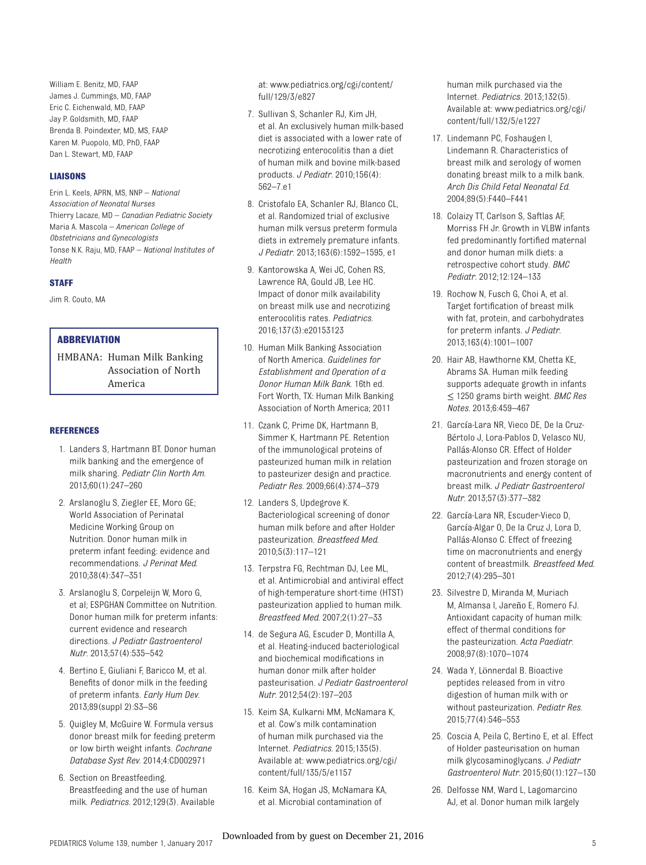William E. Benitz, MD, FAAP James J. Cummings, MD, FAAP Eric C. Eichenwald, MD, FAAP Jay P. Goldsmith, MD, FAAP Brenda B. Poindexter, MD, MS, FAAP Karen M. Puopolo, MD, PhD, FAAP Dan L. Stewart, MD, FAAP

#### **LIAISONS**

Erin L. Keels, APRN, MS, NNP – *National Association of Neonatal Nurses* Thierry Lacaze, MD – *Canadian Pediatric Society* Maria A. Mascola – *American College of Obstetricians and Gynecologists* Tonse N.K. Raju, MD, FAAP – *National Institutes of Health*

#### **STAFF**

Jim R. Couto, MA

#### **ABBREVIATION**

HMBANA: Human Milk Banking Association of North America

#### **REFERENCES**

- 1. Landers S, Hartmann BT. Donor human milk banking and the emergence of milk sharing. *Pediatr Clin North Am*. 2013;60(1):247–260
- 2. Arslanoglu S, Ziegler EE, Moro GE; World Association of Perinatal Medicine Working Group on Nutrition. Donor human milk in preterm infant feeding: evidence and recommendations. *J Perinat Med*. 2010;38(4):347–351
- 3. Arslanoglu S, Corpeleijn W, Moro G, et al; ESPGHAN Committee on Nutrition. Donor human milk for preterm infants: current evidence and research directions. *J Pediatr Gastroenterol Nutr*. 2013;57(4):535–542
- 4. Bertino E, Giuliani F, Baricco M, et al. Benefits of donor milk in the feeding of preterm infants. *Early Hum Dev*. 2013;89(suppl 2):S3–S6
- 5. Quigley M, McGuire W. Formula versus donor breast milk for feeding preterm or low birth weight infants. *Cochrane Database Syst Rev*. 2014;4:CD002971
- 6. Section on Breastfeeding. Breastfeeding and the use of human milk. *Pediatrics*. 2012;129(3). Available

at: www. pediatrics. org/ cgi/ content/ full/129/3/e827

- 7. Sullivan S, Schanler RJ, Kim JH, et al. An exclusively human milk-based diet is associated with a lower rate of necrotizing enterocolitis than a diet of human milk and bovine milk-based products. *J Pediatr*. 2010;156(4): 562–7.e1
- 8. Cristofalo EA, Schanler RJ, Blanco CL, et al. Randomized trial of exclusive human milk versus preterm formula diets in extremely premature infants. *J Pediatr*. 2013;163(6):1592–1595, e1
- 9. Kantorowska A, Wei JC, Cohen RS, Lawrence RA, Gould JB, Lee HC. Impact of donor milk availability on breast milk use and necrotizing enterocolitis rates. *Pediatrics*. 2016;137(3):e20153123
- 10. Human Milk Banking Association of North America. *Guidelines for Establishment and Operation of a Donor Human Milk Bank*. 16th ed. Fort Worth, TX: Human Milk Banking Association of North America; 2011
- 11. Czank C, Prime DK, Hartmann B, Simmer K, Hartmann PE. Retention of the immunological proteins of pasteurized human milk in relation to pasteurizer design and practice. *Pediatr Res*. 2009;66(4):374–379
- 12. Landers S, Updegrove K. Bacteriological screening of donor human milk before and after Holder pasteurization. *Breastfeed Med*. 2010;5(3):117–121
- 13. Terpstra FG, Rechtman DJ, Lee ML, et al. Antimicrobial and antiviral effect of high-temperature short-time (HTST) pasteurization applied to human milk. *Breastfeed Med*. 2007;2(1):27–33
- 14. de Segura AG, Escuder D, Montilla A, et al. Heating-induced bacteriological and biochemical modifications in human donor milk after holder pasteurisation. *J Pediatr Gastroenterol Nutr*. 2012;54(2):197–203
- 15. Keim SA, Kulkarni MM, McNamara K, et al. Cow's milk contamination of human milk purchased via the Internet. *Pediatrics*. 2015;135(5). Available at: www.pediatrics.org/cgi/ content/full/135/5/e1157
- 16. Keim SA, Hogan JS, McNamara KA, et al. Microbial contamination of

human milk purchased via the Internet. *Pediatrics*. 2013;132(5). Available at: www.pediatrics.org/cgi/ content/full/132/5/e1227

- 17. Lindemann PC, Foshaugen I, Lindemann R. Characteristics of breast milk and serology of women donating breast milk to a milk bank. *Arch Dis Child Fetal Neonatal Ed*. 2004;89(5):F440–F441
- 18. Colaizy TT, Carlson S, Saftlas AF, Morriss FH Jr. Growth in VLBW infants fed predominantly fortified maternal and donor human milk diets: a retrospective cohort study. *BMC Pediatr*. 2012;12:124–133
- 19. Rochow N, Fusch G, Choi A, et al. Target fortification of breast milk with fat, protein, and carbohydrates for preterm infants. *J Pediatr*. 2013;163(4):1001–1007
- 20. Hair AB, Hawthorne KM, Chetta KE, Abrams SA. Human milk feeding supports adequate growth in infants ≤ 1250 grams birth weight. *BMC Res Notes*. 2013;6:459–467
- 21. García-Lara NR, Vieco DE, De la Cruz-Bértolo J, Lora-Pablos D, Velasco NU, Pallás-Alonso CR. Effect of Holder pasteurization and frozen storage on macronutrients and energy content of breast milk. *J Pediatr Gastroenterol Nutr*. 2013;57(3):377–382
- 22. García-Lara NR, Escuder-Vieco D, García-Algar O, De la Cruz J, Lora D, Pallás-Alonso C. Effect of freezing time on macronutrients and energy content of breastmilk. *Breastfeed Med*. 2012;7(4):295–301
- 23. Silvestre D, Miranda M, Muriach M, Almansa I, Jareño E, Romero FJ. Antioxidant capacity of human milk: effect of thermal conditions for the pasteurization. *Acta Paediatr*. 2008;97(8):1070–1074
- 24. Wada Y, Lönnerdal B. Bioactive peptides released from in vitro digestion of human milk with or without pasteurization. *Pediatr Res*. 2015;77(4):546–553
- 25. Coscia A, Peila C, Bertino E, et al. Effect of Holder pasteurisation on human milk glycosaminoglycans. *J Pediatr Gastroenterol Nutr*. 2015;60(1):127–130
- 26. Delfosse NM, Ward L, Lagomarcino AJ, et al. Donor human milk largely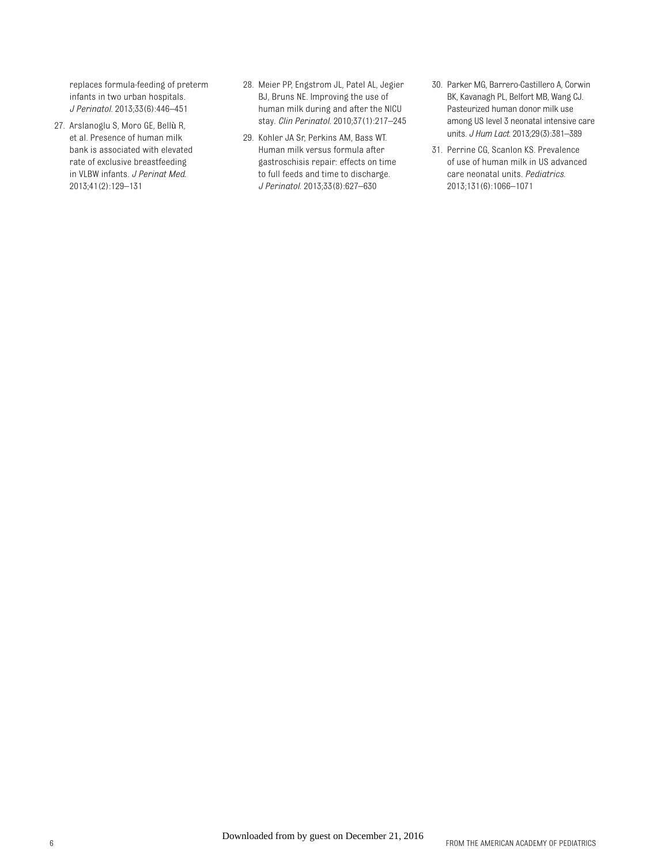replaces formula-feeding of preterm infants in two urban hospitals. *J Perinatol*. 2013;33(6):446–451

- 27. Arslanoglu S, Moro GE, Bellù R, et al. Presence of human milk bank is associated with elevated rate of exclusive breastfeeding in VLBW infants. *J Perinat Med*. 2013;41(2):129–131
- 28. Meier PP, Engstrom JL, Patel AL, Jegier BJ, Bruns NE. Improving the use of human milk during and after the NICU stay. *Clin Perinatol*. 2010;37(1):217–245
- 29. Kohler JA Sr, Perkins AM, Bass WT. Human milk versus formula after gastroschisis repair: effects on time to full feeds and time to discharge. *J Perinatol*. 2013;33(8):627–630
- 30. Parker MG, Barrero-Castillero A, Corwin BK, Kavanagh PL, Belfort MB, Wang CJ. Pasteurized human donor milk use among US level 3 neonatal intensive care units. *J Hum Lact*. 2013;29(3):381–389
- 31. Perrine CG, Scanlon KS. Prevalence of use of human milk in US advanced care neonatal units. *Pediatrics*. 2013;131(6):1066–1071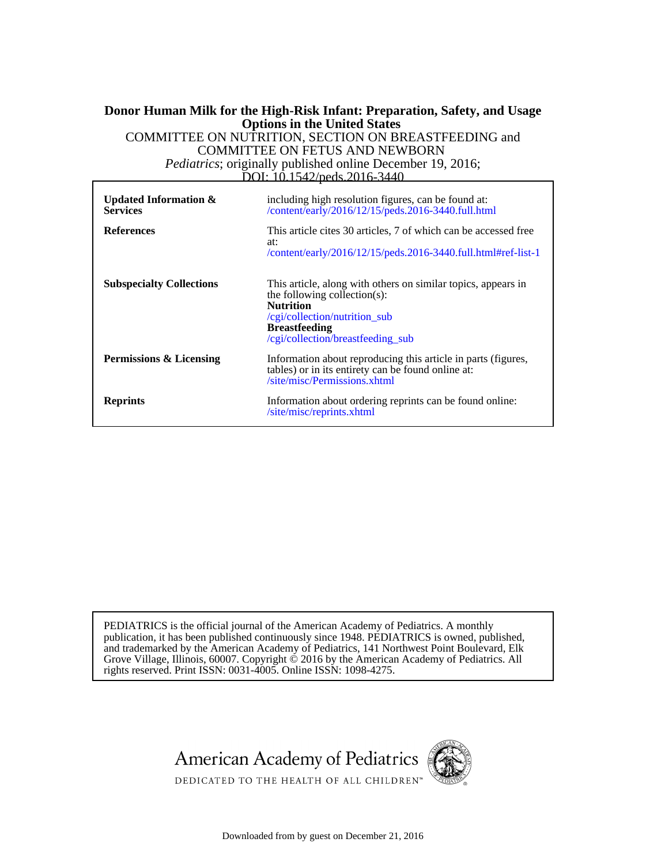### **Options in the United States Donor Human Milk for the High-Risk Infant: Preparation, Safety, and Usage**

COMMITTEE ON FETUS AND NEWBORN COMMITTEE ON NUTRITION, SECTION ON BREASTFEEDING and

DOI: 10.1542/peds.2016-3440 *Pediatrics*; originally published online December 19, 2016;

| <b>Updated Information &amp;</b><br><b>Services</b> | including high resolution figures, can be found at:<br>/content/early/2016/12/15/peds.2016-3440.full.html                                                                                                       |
|-----------------------------------------------------|-----------------------------------------------------------------------------------------------------------------------------------------------------------------------------------------------------------------|
| <b>References</b>                                   | This article cites 30 articles, 7 of which can be accessed free<br>at:<br>/content/early/2016/12/15/peds.2016-3440.full.html#ref-list-1                                                                         |
| <b>Subspecialty Collections</b>                     | This article, along with others on similar topics, appears in<br>the following collection(s):<br><b>Nutrition</b><br>/cgi/collection/nutrition_sub<br><b>Breastfeeding</b><br>/cgi/collection/breastfeeding_sub |
| <b>Permissions &amp; Licensing</b>                  | Information about reproducing this article in parts (figures,<br>tables) or in its entirety can be found online at:<br>/site/misc/Permissions.xhtml                                                             |
| <b>Reprints</b>                                     | Information about ordering reprints can be found online:<br>/site/misc/reprints.xhtml                                                                                                                           |

rights reserved. Print ISSN: 0031-4005. Online ISSN: 1098-4275. Grove Village, Illinois, 60007. Copyright  $\ddot{\odot}$  2016 by the American Academy of Pediatrics. All and trademarked by the American Academy of Pediatrics, 141 Northwest Point Boulevard, Elk publication, it has been published continuously since 1948. PEDIATRICS is owned, published, PEDIATRICS is the official journal of the American Academy of Pediatrics. A monthly





DEDICATED TO THE HEALTH OF ALL CHILDREN™